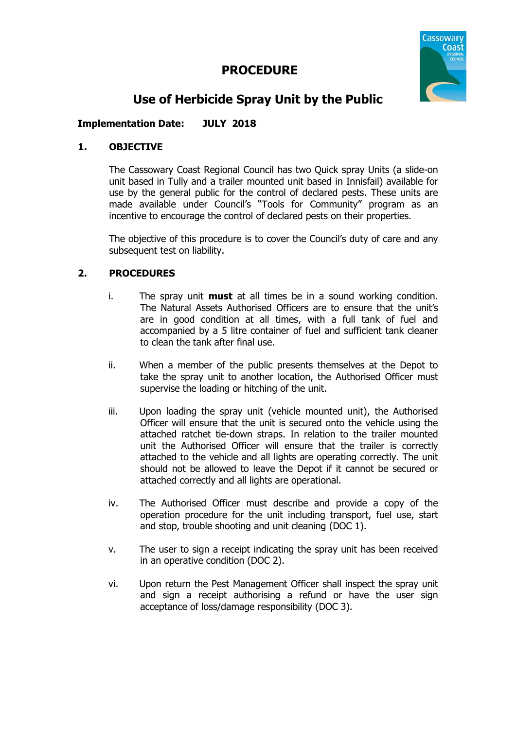# **PROCEDURE**



# **Use of Herbicide Spray Unit by the Public**

# **Implementation Date: JULY 2018**

## **1. OBJECTIVE**

The Cassowary Coast Regional Council has two Quick spray Units (a slide-on unit based in Tully and a trailer mounted unit based in Innisfail) available for use by the general public for the control of declared pests. These units are made available under Council's "Tools for Community" program as an incentive to encourage the control of declared pests on their properties.

The objective of this procedure is to cover the Council's duty of care and any subsequent test on liability.

## **2. PROCEDURES**

- i. The spray unit **must** at all times be in a sound working condition. The Natural Assets Authorised Officers are to ensure that the unit's are in good condition at all times, with a full tank of fuel and accompanied by a 5 litre container of fuel and sufficient tank cleaner to clean the tank after final use.
- ii. When a member of the public presents themselves at the Depot to take the spray unit to another location, the Authorised Officer must supervise the loading or hitching of the unit.
- iii. Upon loading the spray unit (vehicle mounted unit), the Authorised Officer will ensure that the unit is secured onto the vehicle using the attached ratchet tie-down straps. In relation to the trailer mounted unit the Authorised Officer will ensure that the trailer is correctly attached to the vehicle and all lights are operating correctly. The unit should not be allowed to leave the Depot if it cannot be secured or attached correctly and all lights are operational.
- iv. The Authorised Officer must describe and provide a copy of the operation procedure for the unit including transport, fuel use, start and stop, trouble shooting and unit cleaning (DOC 1).
- v. The user to sign a receipt indicating the spray unit has been received in an operative condition (DOC 2).
- vi. Upon return the Pest Management Officer shall inspect the spray unit and sign a receipt authorising a refund or have the user sign acceptance of loss/damage responsibility (DOC 3).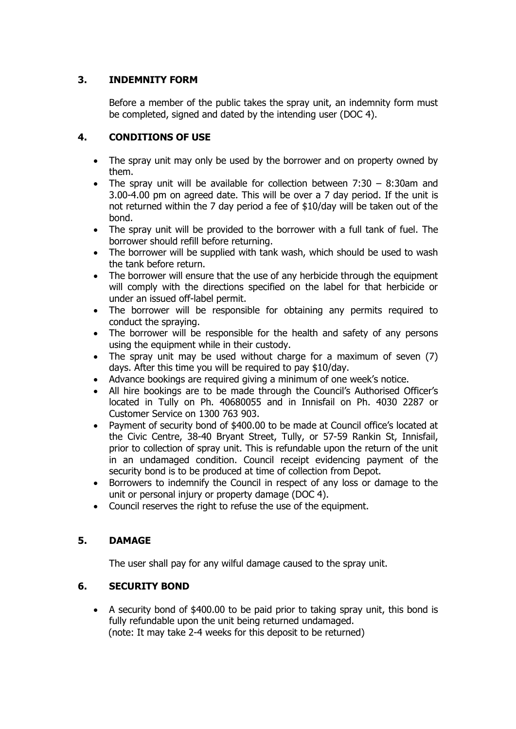# **3. INDEMNITY FORM**

Before a member of the public takes the spray unit, an indemnity form must be completed, signed and dated by the intending user (DOC 4).

## **4. CONDITIONS OF USE**

- The spray unit may only be used by the borrower and on property owned by them.
- The spray unit will be available for collection between  $7:30 8:30$ am and 3.00-4.00 pm on agreed date. This will be over a 7 day period. If the unit is not returned within the 7 day period a fee of \$10/day will be taken out of the bond.
- The spray unit will be provided to the borrower with a full tank of fuel. The borrower should refill before returning.
- The borrower will be supplied with tank wash, which should be used to wash the tank before return.
- The borrower will ensure that the use of any herbicide through the equipment will comply with the directions specified on the label for that herbicide or under an issued off-label permit.
- The borrower will be responsible for obtaining any permits required to conduct the spraying.
- The borrower will be responsible for the health and safety of any persons using the equipment while in their custody.
- The spray unit may be used without charge for a maximum of seven (7) days. After this time you will be required to pay \$10/day.
- Advance bookings are required giving a minimum of one week's notice.
- All hire bookings are to be made through the Council's Authorised Officer's located in Tully on Ph. 40680055 and in Innisfail on Ph. 4030 2287 or Customer Service on 1300 763 903.
- Payment of security bond of \$400.00 to be made at Council office's located at the Civic Centre, 38-40 Bryant Street, Tully, or 57-59 Rankin St, Innisfail, prior to collection of spray unit. This is refundable upon the return of the unit in an undamaged condition. Council receipt evidencing payment of the security bond is to be produced at time of collection from Depot.
- Borrowers to indemnify the Council in respect of any loss or damage to the unit or personal injury or property damage (DOC 4).
- Council reserves the right to refuse the use of the equipment.

## **5. DAMAGE**

The user shall pay for any wilful damage caused to the spray unit.

## **6. SECURITY BOND**

 A security bond of \$400.00 to be paid prior to taking spray unit, this bond is fully refundable upon the unit being returned undamaged. (note: It may take 2-4 weeks for this deposit to be returned)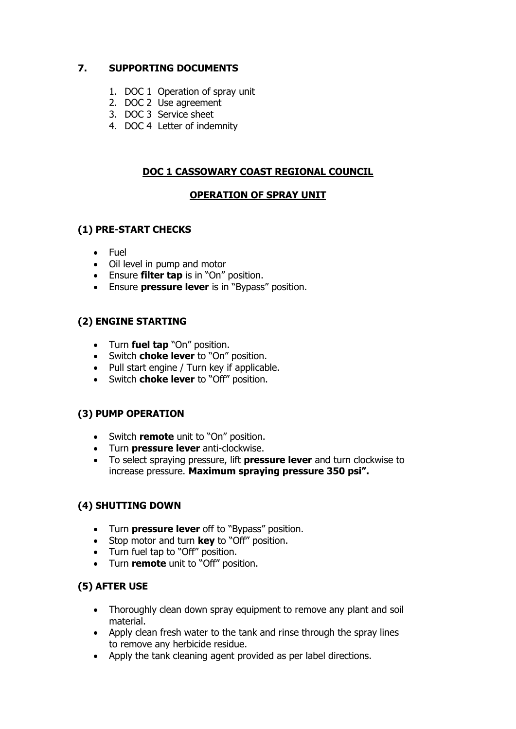# **7. SUPPORTING DOCUMENTS**

- 1. DOC 1 Operation of spray unit
- 2. DOC 2 Use agreement
- 3. DOC 3 Service sheet
- 4. DOC 4 Letter of indemnity

# **DOC 1 CASSOWARY COAST REGIONAL COUNCIL**

# **OPERATION OF SPRAY UNIT**

# **(1) PRE-START CHECKS**

- Fuel
- Oil level in pump and motor
- Ensure **filter tap** is in "On" position.
- Ensure **pressure lever** is in "Bypass" position.

# **(2) ENGINE STARTING**

- Turn **fuel tap** "On" position.
- Switch **choke lever** to "On" position.
- Pull start engine / Turn key if applicable.
- Switch **choke lever** to "Off" position.

# **(3) PUMP OPERATION**

- Switch **remote** unit to "On" position.
- Turn **pressure lever** anti-clockwise.
- To select spraying pressure, lift **pressure lever** and turn clockwise to increase pressure. **Maximum spraying pressure 350 psi".**

# **(4) SHUTTING DOWN**

- Turn **pressure lever** off to "Bypass" position.
- Stop motor and turn **key** to "Off" position.
- Turn fuel tap to "Off" position.
- Turn **remote** unit to "Off" position.

## **(5) AFTER USE**

- Thoroughly clean down spray equipment to remove any plant and soil material.
- Apply clean fresh water to the tank and rinse through the spray lines to remove any herbicide residue.
- Apply the tank cleaning agent provided as per label directions.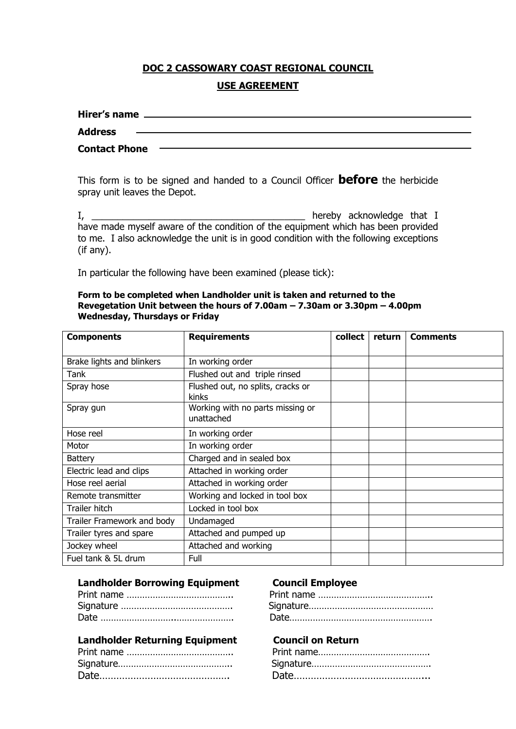# **DOC 2 CASSOWARY COAST REGIONAL COUNCIL USE AGREEMENT**

| Hirer's name         |  |
|----------------------|--|
| <b>Address</b>       |  |
| <b>Contact Phone</b> |  |

This form is to be signed and handed to a Council Officer **before** the herbicide spray unit leaves the Depot.

I, thereby acknowledge that I have made myself aware of the condition of the equipment which has been provided to me. I also acknowledge the unit is in good condition with the following exceptions (if any).

In particular the following have been examined (please tick):

#### **Form to be completed when Landholder unit is taken and returned to the Revegetation Unit between the hours of 7.00am – 7.30am or 3.30pm – 4.00pm Wednesday, Thursdays or Friday**

| <b>Components</b>          | <b>Requirements</b>                            | collect | return | <b>Comments</b> |
|----------------------------|------------------------------------------------|---------|--------|-----------------|
|                            |                                                |         |        |                 |
| Brake lights and blinkers  | In working order                               |         |        |                 |
| Tank                       | Flushed out and triple rinsed                  |         |        |                 |
| Spray hose                 | Flushed out, no splits, cracks or<br>kinks     |         |        |                 |
| Spray gun                  | Working with no parts missing or<br>unattached |         |        |                 |
| Hose reel                  | In working order                               |         |        |                 |
| Motor                      | In working order                               |         |        |                 |
| <b>Battery</b>             | Charged and in sealed box                      |         |        |                 |
| Electric lead and clips    | Attached in working order                      |         |        |                 |
| Hose reel aerial           | Attached in working order                      |         |        |                 |
| Remote transmitter         | Working and locked in tool box                 |         |        |                 |
| Trailer hitch              | Locked in tool box                             |         |        |                 |
| Trailer Framework and body | Undamaged                                      |         |        |                 |
| Trailer tyres and spare    | Attached and pumped up                         |         |        |                 |
| Jockey wheel               | Attached and working                           |         |        |                 |
| Fuel tank & 5L drum        | Full                                           |         |        |                 |

#### **Landholder Borrowing Equipment Council Employee**

## **Landholder Returning Equipment Council on Return**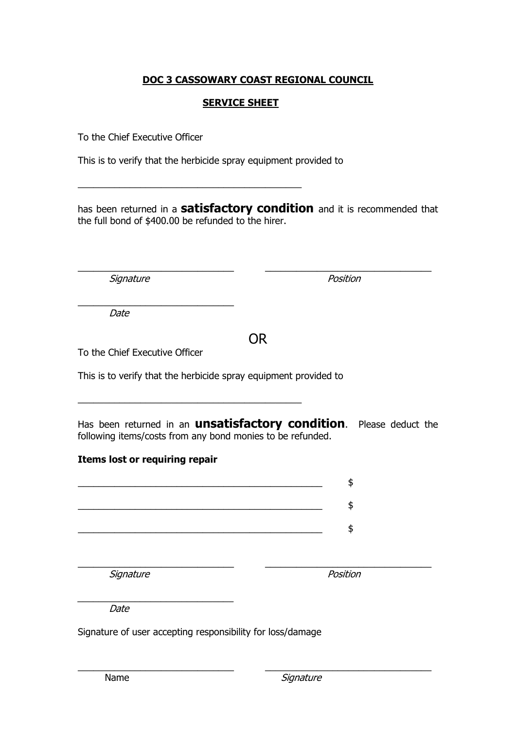# **DOC 3 CASSOWARY COAST REGIONAL COUNCIL**

## **SERVICE SHEET**

To the Chief Executive Officer

This is to verify that the herbicide spray equipment provided to

 $\_$  . The contribution of the contribution of  $\mathcal{L}_\mathcal{A}$ 

has been returned in a **satisfactory condition** and it is recommended that the full bond of \$400.00 be refunded to the hirer.

\_\_\_\_\_\_\_\_\_\_\_\_\_\_\_\_\_\_\_\_\_\_\_\_\_\_\_\_\_\_ \_\_\_\_\_\_\_\_\_\_\_\_\_\_\_\_\_\_\_\_\_\_\_\_\_\_\_\_\_\_\_\_

Signature **Position** 

Date

# OR

To the Chief Executive Officer

\_\_\_\_\_\_\_\_\_\_\_\_\_\_\_\_\_\_\_\_\_\_\_\_\_\_\_\_\_\_

This is to verify that the herbicide spray equipment provided to

\_\_\_\_\_\_\_\_\_\_\_\_\_\_\_\_\_\_\_\_\_\_\_\_\_\_\_\_\_\_\_\_\_\_\_\_\_\_\_\_\_\_\_

Has been returned in an **unsatisfactory condition**. Please deduct the following items/costs from any bond monies to be refunded.

## **Items lost or requiring repair**

| Signature | Position |
|-----------|----------|

\_\_\_\_\_\_\_\_\_\_\_\_\_\_\_\_\_\_\_\_\_\_\_\_\_\_\_\_\_\_ Date

Signature of user accepting responsibility for loss/damage

\_\_\_\_\_\_\_\_\_\_\_\_\_\_\_\_\_\_\_\_\_\_\_\_\_\_\_\_\_\_ \_\_\_\_\_\_\_\_\_\_\_\_\_\_\_\_\_\_\_\_\_\_\_\_\_\_\_\_\_\_\_\_